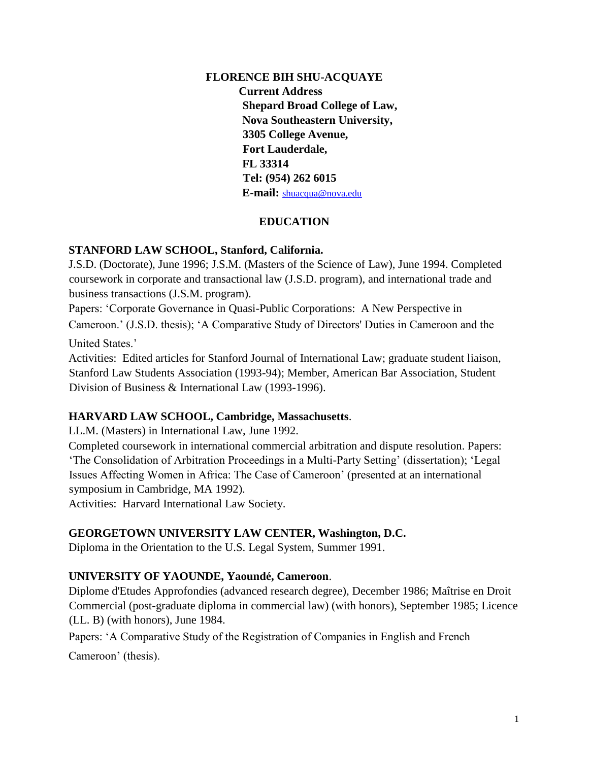## **FLORENCE BIH SHU-ACQUAYE Current Address Shepard Broad College of Law, Nova Southeastern University, 3305 College Avenue, Fort Lauderdale, FL 33314 Tel: (954) 262 6015 E-mail:** shuacqua@nova.edu

# **EDUCATION**

### **STANFORD LAW SCHOOL, Stanford, California.**

J.S.D. (Doctorate), June 1996; J.S.M. (Masters of the Science of Law), June 1994. Completed coursework in corporate and transactional law (J.S.D. program), and international trade and business transactions (J.S.M. program).

Papers: 'Corporate Governance in Quasi-Public Corporations: A New Perspective in Cameroon.' (J.S.D. thesis); 'A Comparative Study of Directors' Duties in Cameroon and the United States.'

Activities: Edited articles for Stanford Journal of International Law; graduate student liaison, Stanford Law Students Association (1993-94); Member, American Bar Association, Student Division of Business & International Law (1993-1996).

## **HARVARD LAW SCHOOL, Cambridge, Massachusetts**.

LL.M. (Masters) in International Law, June 1992.

Completed coursework in international commercial arbitration and dispute resolution. Papers: 'The Consolidation of Arbitration Proceedings in a Multi-Party Setting' (dissertation); 'Legal Issues Affecting Women in Africa: The Case of Cameroon' (presented at an international symposium in Cambridge, MA 1992).

Activities: Harvard International Law Society.

## **GEORGETOWN UNIVERSITY LAW CENTER, Washington, D.C.**

Diploma in the Orientation to the U.S. Legal System, Summer 1991.

## **UNIVERSITY OF YAOUNDE, Yaoundé, Cameroon**.

Diplome d'Etudes Approfondies (advanced research degree), December 1986; Maîtrise en Droit Commercial (post-graduate diploma in commercial law) (with honors), September 1985; Licence (LL. B) (with honors), June 1984.

Papers: 'A Comparative Study of the Registration of Companies in English and French

Cameroon' (thesis).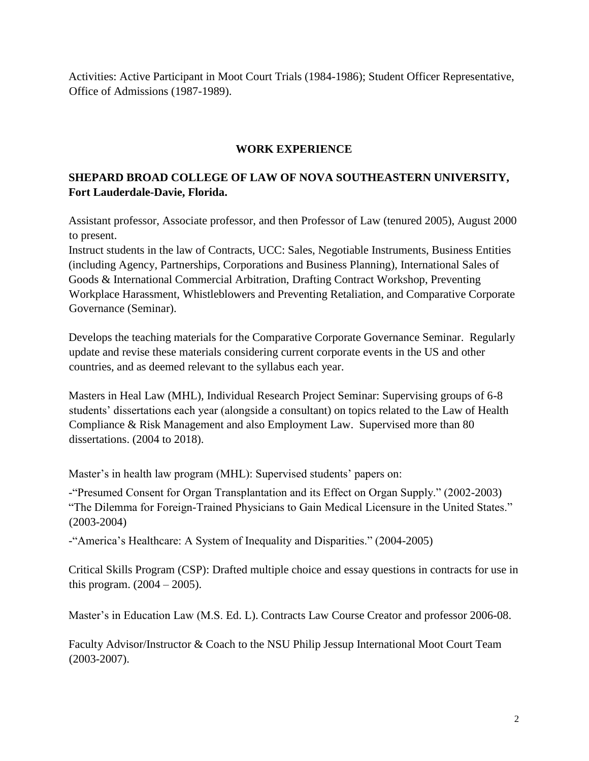Activities: Active Participant in Moot Court Trials (1984-1986); Student Officer Representative, Office of Admissions (1987-1989).

### **WORK EXPERIENCE**

# **SHEPARD BROAD COLLEGE OF LAW OF NOVA SOUTHEASTERN UNIVERSITY, Fort Lauderdale-Davie, Florida.**

Assistant professor, Associate professor, and then Professor of Law (tenured 2005), August 2000 to present.

Instruct students in the law of Contracts, UCC: Sales, Negotiable Instruments, Business Entities (including Agency, Partnerships, Corporations and Business Planning), International Sales of Goods & International Commercial Arbitration, Drafting Contract Workshop, Preventing Workplace Harassment, Whistleblowers and Preventing Retaliation, and Comparative Corporate Governance (Seminar).

Develops the teaching materials for the Comparative Corporate Governance Seminar. Regularly update and revise these materials considering current corporate events in the US and other countries, and as deemed relevant to the syllabus each year.

Masters in Heal Law (MHL), Individual Research Project Seminar: Supervising groups of 6-8 students' dissertations each year (alongside a consultant) on topics related to the Law of Health Compliance & Risk Management and also Employment Law. Supervised more than 80 dissertations. (2004 to 2018).

Master's in health law program (MHL): Supervised students' papers on:

-"Presumed Consent for Organ Transplantation and its Effect on Organ Supply." (2002-2003) "The Dilemma for Foreign-Trained Physicians to Gain Medical Licensure in the United States." (2003-2004)

-"America's Healthcare: A System of Inequality and Disparities." (2004-2005)

Critical Skills Program (CSP): Drafted multiple choice and essay questions in contracts for use in this program.  $(2004 – 2005)$ .

Master's in Education Law (M.S. Ed. L). Contracts Law Course Creator and professor 2006-08.

Faculty Advisor/Instructor & Coach to the NSU Philip Jessup International Moot Court Team (2003-2007).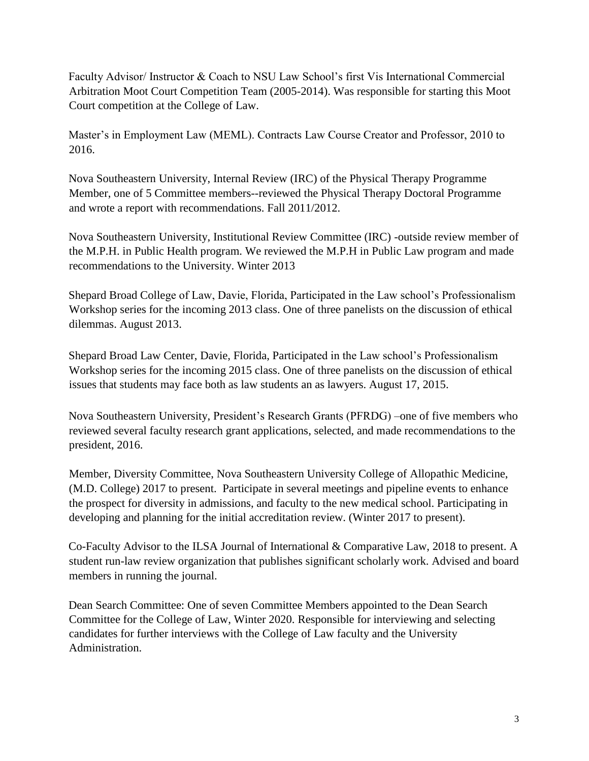Faculty Advisor/ Instructor & Coach to NSU Law School's first Vis International Commercial Arbitration Moot Court Competition Team (2005-2014). Was responsible for starting this Moot Court competition at the College of Law.

Master's in Employment Law (MEML). Contracts Law Course Creator and Professor, 2010 to 2016.

Nova Southeastern University, Internal Review (IRC) of the Physical Therapy Programme Member, one of 5 Committee members--reviewed the Physical Therapy Doctoral Programme and wrote a report with recommendations. Fall 2011/2012.

Nova Southeastern University, Institutional Review Committee (IRC) -outside review member of the M.P.H. in Public Health program. We reviewed the M.P.H in Public Law program and made recommendations to the University. Winter 2013

Shepard Broad College of Law, Davie, Florida, Participated in the Law school's Professionalism Workshop series for the incoming 2013 class. One of three panelists on the discussion of ethical dilemmas. August 2013.

Shepard Broad Law Center, Davie, Florida, Participated in the Law school's Professionalism Workshop series for the incoming 2015 class. One of three panelists on the discussion of ethical issues that students may face both as law students an as lawyers. August 17, 2015.

Nova Southeastern University, President's Research Grants (PFRDG) –one of five members who reviewed several faculty research grant applications, selected, and made recommendations to the president, 2016.

Member, Diversity Committee, Nova Southeastern University College of Allopathic Medicine, (M.D. College) 2017 to present. Participate in several meetings and pipeline events to enhance the prospect for diversity in admissions, and faculty to the new medical school. Participating in developing and planning for the initial accreditation review. (Winter 2017 to present).

Co-Faculty Advisor to the ILSA Journal of International & Comparative Law, 2018 to present. A student run-law review organization that publishes significant scholarly work. Advised and board members in running the journal.

Dean Search Committee: One of seven Committee Members appointed to the Dean Search Committee for the College of Law, Winter 2020. Responsible for interviewing and selecting candidates for further interviews with the College of Law faculty and the University Administration.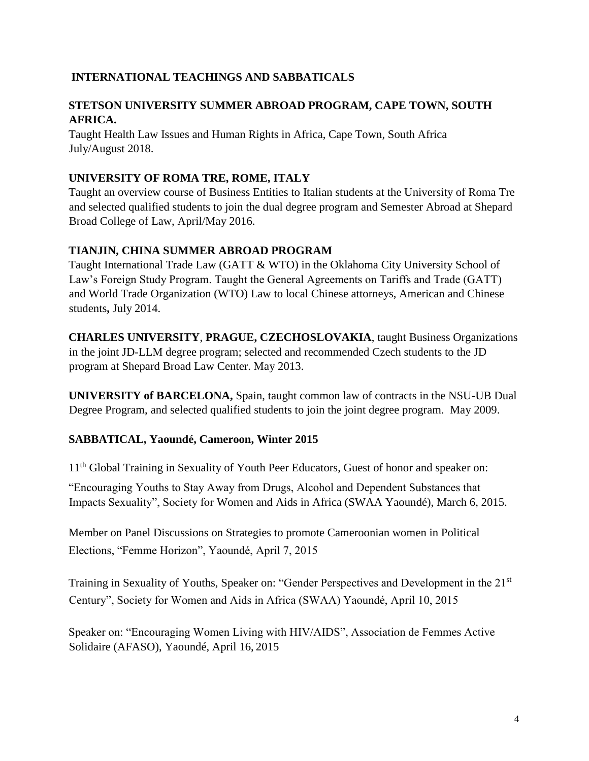## **INTERNATIONAL TEACHINGS AND SABBATICALS**

### **STETSON UNIVERSITY SUMMER ABROAD PROGRAM, CAPE TOWN, SOUTH AFRICA.**

Taught Health Law Issues and Human Rights in Africa, Cape Town, South Africa July/August 2018.

### **UNIVERSITY OF ROMA TRE, ROME, ITALY**

Taught an overview course of Business Entities to Italian students at the University of Roma Tre and selected qualified students to join the dual degree program and Semester Abroad at Shepard Broad College of Law, April/May 2016.

### **TIANJIN, CHINA SUMMER ABROAD PROGRAM**

Taught International Trade Law (GATT & WTO) in the Oklahoma City University School of Law's Foreign Study Program. Taught the General Agreements on Tariffs and Trade (GATT) and World Trade Organization (WTO) Law to local Chinese attorneys, American and Chinese students**,** July 2014.

**CHARLES UNIVERSITY**, **PRAGUE, CZECHOSLOVAKIA**, taught Business Organizations in the joint JD-LLM degree program; selected and recommended Czech students to the JD program at Shepard Broad Law Center. May 2013.

**UNIVERSITY of BARCELONA,** Spain, taught common law of contracts in the NSU-UB Dual Degree Program, and selected qualified students to join the joint degree program. May 2009.

## **SABBATICAL, Yaoundé, Cameroon, Winter 2015**

11<sup>th</sup> Global Training in Sexuality of Youth Peer Educators, Guest of honor and speaker on:

"Encouraging Youths to Stay Away from Drugs, Alcohol and Dependent Substances that Impacts Sexuality", Society for Women and Aids in Africa (SWAA Yaoundé), March 6, 2015.

Member on Panel Discussions on Strategies to promote Cameroonian women in Political Elections, "Femme Horizon", Yaoundé, April 7, 2015

Training in Sexuality of Youths, Speaker on: "Gender Perspectives and Development in the 21<sup>st</sup> Century", Society for Women and Aids in Africa (SWAA) Yaoundé, April 10, 2015

Speaker on: "Encouraging Women Living with HIV/AIDS", Association de Femmes Active Solidaire (AFASO), Yaoundé, April 16, 2015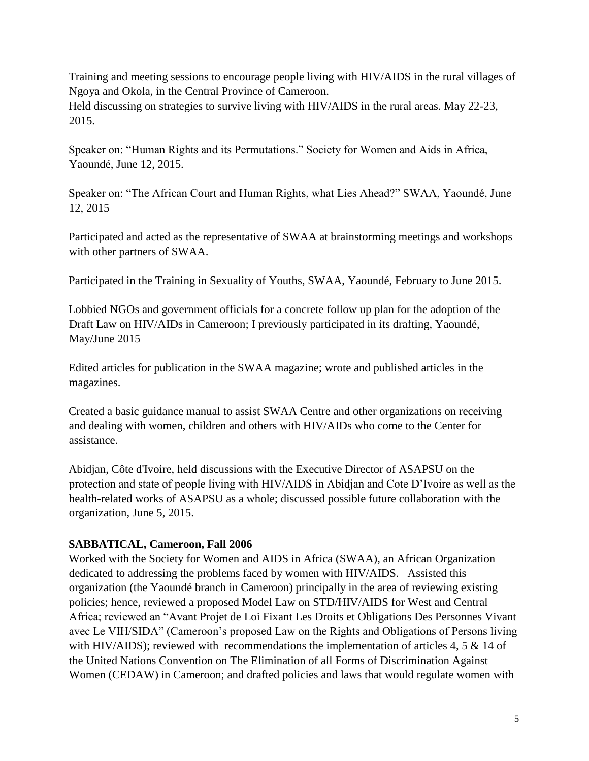Training and meeting sessions to encourage people living with HIV/AIDS in the rural villages of Ngoya and Okola, in the Central Province of Cameroon. Held discussing on strategies to survive living with HIV/AIDS in the rural areas. May 22-23, 2015.

Speaker on: "Human Rights and its Permutations." Society for Women and Aids in Africa, Yaoundé, June 12, 2015.

Speaker on: "The African Court and Human Rights, what Lies Ahead?" SWAA, Yaoundé, June 12, 2015

Participated and acted as the representative of SWAA at brainstorming meetings and workshops with other partners of SWAA.

Participated in the Training in Sexuality of Youths, SWAA, Yaoundé, February to June 2015.

Lobbied NGOs and government officials for a concrete follow up plan for the adoption of the Draft Law on HIV/AIDs in Cameroon; I previously participated in its drafting, Yaoundé, May/June 2015

Edited articles for publication in the SWAA magazine; wrote and published articles in the magazines.

Created a basic guidance manual to assist SWAA Centre and other organizations on receiving and dealing with women, children and others with HIV/AIDs who come to the Center for assistance.

Abidjan, Côte d'Ivoire, held discussions with the Executive Director of ASAPSU on the protection and state of people living with HIV/AIDS in Abidjan and Cote D'Ivoire as well as the health-related works of ASAPSU as a whole; discussed possible future collaboration with the organization, June 5, 2015.

## **SABBATICAL, Cameroon, Fall 2006**

Worked with the Society for Women and AIDS in Africa (SWAA), an African Organization dedicated to addressing the problems faced by women with HIV/AIDS. Assisted this organization (the Yaoundé branch in Cameroon) principally in the area of reviewing existing policies; hence, reviewed a proposed Model Law on STD/HIV/AIDS for West and Central Africa; reviewed an "Avant Projet de Loi Fixant Les Droits et Obligations Des Personnes Vivant avec Le VIH/SIDA" (Cameroon's proposed Law on the Rights and Obligations of Persons living with HIV/AIDS); reviewed with recommendations the implementation of articles 4, 5 & 14 of the United Nations Convention on The Elimination of all Forms of Discrimination Against Women (CEDAW) in Cameroon; and drafted policies and laws that would regulate women with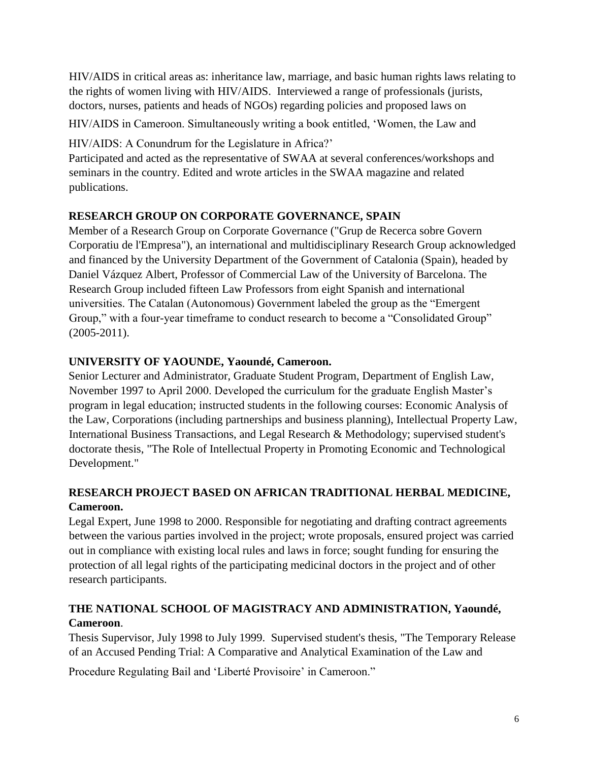HIV/AIDS in critical areas as: inheritance law, marriage, and basic human rights laws relating to the rights of women living with HIV/AIDS. Interviewed a range of professionals (jurists, doctors, nurses, patients and heads of NGOs) regarding policies and proposed laws on

HIV/AIDS in Cameroon. Simultaneously writing a book entitled, 'Women, the Law and

HIV/AIDS: A Conundrum for the Legislature in Africa?'

Participated and acted as the representative of SWAA at several conferences/workshops and seminars in the country. Edited and wrote articles in the SWAA magazine and related publications.

# **RESEARCH GROUP ON CORPORATE GOVERNANCE, SPAIN**

Member of a Research Group on Corporate Governance ("Grup de Recerca sobre Govern Corporatiu de l'Empresa"), an international and multidisciplinary Research Group acknowledged and financed by the University Department of the Government of Catalonia (Spain), headed by Daniel Vázquez Albert, Professor of Commercial Law of the University of Barcelona. The Research Group included fifteen Law Professors from eight Spanish and international universities. The Catalan (Autonomous) Government labeled the group as the "Emergent Group," with a four-year timeframe to conduct research to become a "Consolidated Group" (2005-2011).

## **UNIVERSITY OF YAOUNDE, Yaoundé, Cameroon.**

Senior Lecturer and Administrator, Graduate Student Program, Department of English Law, November 1997 to April 2000. Developed the curriculum for the graduate English Master's program in legal education; instructed students in the following courses: Economic Analysis of the Law, Corporations (including partnerships and business planning), Intellectual Property Law, International Business Transactions, and Legal Research & Methodology; supervised student's doctorate thesis, "The Role of Intellectual Property in Promoting Economic and Technological Development."

# **RESEARCH PROJECT BASED ON AFRICAN TRADITIONAL HERBAL MEDICINE, Cameroon.**

Legal Expert, June 1998 to 2000. Responsible for negotiating and drafting contract agreements between the various parties involved in the project; wrote proposals, ensured project was carried out in compliance with existing local rules and laws in force; sought funding for ensuring the protection of all legal rights of the participating medicinal doctors in the project and of other research participants.

# **THE NATIONAL SCHOOL OF MAGISTRACY AND ADMINISTRATION, Yaoundé, Cameroon**.

Thesis Supervisor, July 1998 to July 1999. Supervised student's thesis, "The Temporary Release of an Accused Pending Trial: A Comparative and Analytical Examination of the Law and

Procedure Regulating Bail and 'Liberté Provisoire' in Cameroon."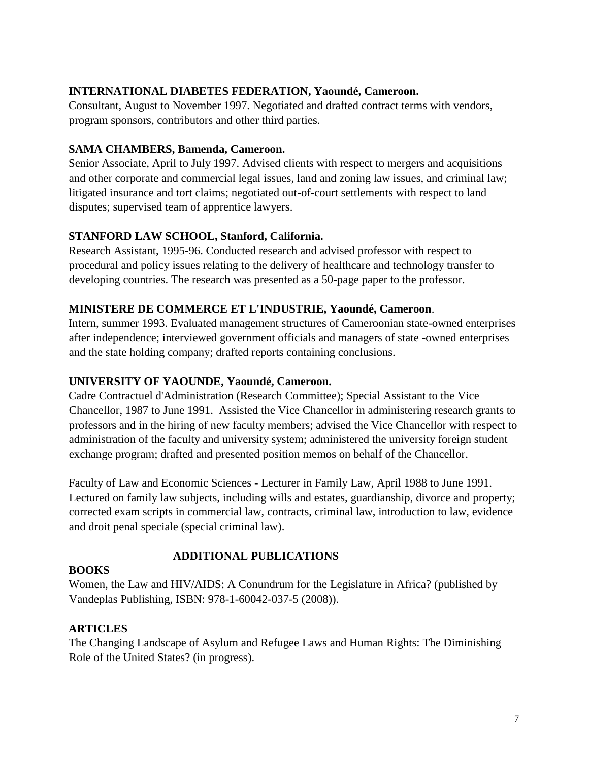### **INTERNATIONAL DIABETES FEDERATION, Yaoundé, Cameroon.**

Consultant, August to November 1997. Negotiated and drafted contract terms with vendors, program sponsors, contributors and other third parties.

### **SAMA CHAMBERS, Bamenda, Cameroon.**

Senior Associate, April to July 1997. Advised clients with respect to mergers and acquisitions and other corporate and commercial legal issues, land and zoning law issues, and criminal law; litigated insurance and tort claims; negotiated out-of-court settlements with respect to land disputes; supervised team of apprentice lawyers.

### **STANFORD LAW SCHOOL, Stanford, California.**

Research Assistant, 1995-96. Conducted research and advised professor with respect to procedural and policy issues relating to the delivery of healthcare and technology transfer to developing countries. The research was presented as a 50-page paper to the professor.

### **MINISTERE DE COMMERCE ET L'INDUSTRIE, Yaoundé, Cameroon**.

Intern, summer 1993. Evaluated management structures of Cameroonian state-owned enterprises after independence; interviewed government officials and managers of state -owned enterprises and the state holding company; drafted reports containing conclusions.

### **UNIVERSITY OF YAOUNDE, Yaoundé, Cameroon.**

Cadre Contractuel d'Administration (Research Committee); Special Assistant to the Vice Chancellor, 1987 to June 1991. Assisted the Vice Chancellor in administering research grants to professors and in the hiring of new faculty members; advised the Vice Chancellor with respect to administration of the faculty and university system; administered the university foreign student exchange program; drafted and presented position memos on behalf of the Chancellor.

Faculty of Law and Economic Sciences - Lecturer in Family Law, April 1988 to June 1991. Lectured on family law subjects, including wills and estates, guardianship, divorce and property; corrected exam scripts in commercial law, contracts, criminal law, introduction to law, evidence and droit penal speciale (special criminal law).

## **ADDITIONAL PUBLICATIONS**

#### **BOOKS**

Women, the Law and HIV/AIDS: A Conundrum for the Legislature in Africa? (published by Vandeplas Publishing, ISBN: 978-1-60042-037-5 (2008)).

## **ARTICLES**

The Changing Landscape of Asylum and Refugee Laws and Human Rights: The Diminishing Role of the United States? (in progress).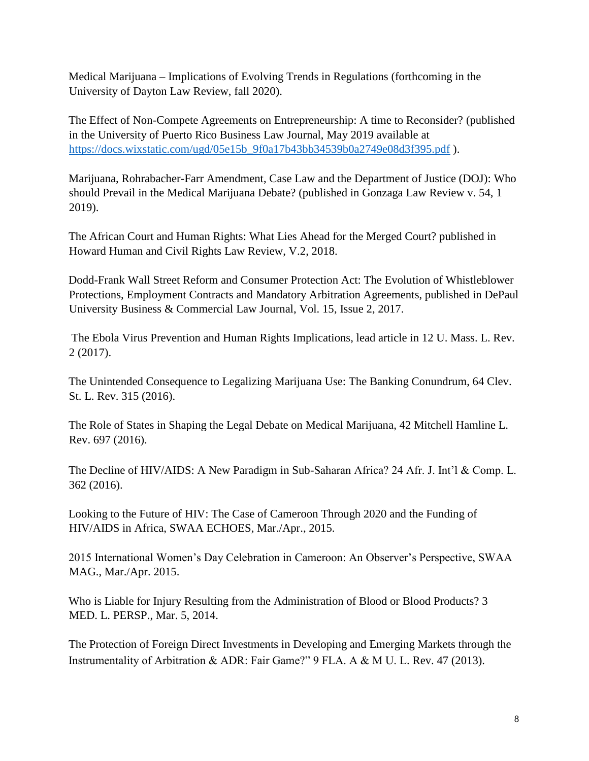Medical Marijuana – Implications of Evolving Trends in Regulations (forthcoming in the University of Dayton Law Review, fall 2020).

The Effect of Non-Compete Agreements on Entrepreneurship: A time to Reconsider? (published in the University of Puerto Rico Business Law Journal, May 2019 available at [https://docs.wixstatic.com/ugd/05e15b\\_9f0a17b43bb34539b0a2749e08d3f395.pdf](https://nam01.safelinks.protection.outlook.com/?url=https%3A%2F%2Fdocs.wixstatic.com%2Fugd%2F05e15b_9f0a17b43bb34539b0a2749e08d3f395.pdf&data=02%7C01%7Cshuacqua%40nova.edu%7C212dca6bf7e944e17e3f08d6de052169%7C2c2b2d312e3e4df1b571fb37c042ff1b%7C0%7C0%7C636940511695375681&sdata=ElLxIeCknxb9Oqmc1r6CSWZTkSVwkI33k5r5gpcbAzQ%3D&reserved=0) ).

Marijuana, Rohrabacher-Farr Amendment, Case Law and the Department of Justice (DOJ): Who should Prevail in the Medical Marijuana Debate? (published in Gonzaga Law Review v. 54, 1 2019).

The African Court and Human Rights: What Lies Ahead for the Merged Court? published in Howard Human and Civil Rights Law Review, V.2, 2018.

Dodd-Frank Wall Street Reform and Consumer Protection Act: The Evolution of Whistleblower Protections, Employment Contracts and Mandatory Arbitration Agreements, published in DePaul University Business & Commercial Law Journal, Vol. 15, Issue 2, 2017.

The Ebola Virus Prevention and Human Rights Implications, lead article in 12 U. Mass. L. Rev. 2 (2017).

The Unintended Consequence to Legalizing Marijuana Use: The Banking Conundrum, 64 Clev. St. L. Rev. 315 (2016).

The Role of States in Shaping the Legal Debate on Medical Marijuana, 42 Mitchell Hamline L. Rev. 697 (2016).

The Decline of HIV/AIDS: A New Paradigm in Sub-Saharan Africa? 24 Afr. J. Int'l & Comp. L. 362 (2016).

Looking to the Future of HIV: The Case of Cameroon Through 2020 and the Funding of HIV/AIDS in Africa, SWAA ECHOES, Mar./Apr., 2015.

2015 International Women's Day Celebration in Cameroon: An Observer's Perspective, SWAA MAG., Mar./Apr. 2015.

Who is Liable for Injury Resulting from the Administration of Blood or Blood Products? 3 MED. L. PERSP., Mar. 5, 2014.

The Protection of Foreign Direct Investments in Developing and Emerging Markets through the Instrumentality of Arbitration & ADR: Fair Game?" 9 FLA. A & M U. L. Rev. 47 (2013).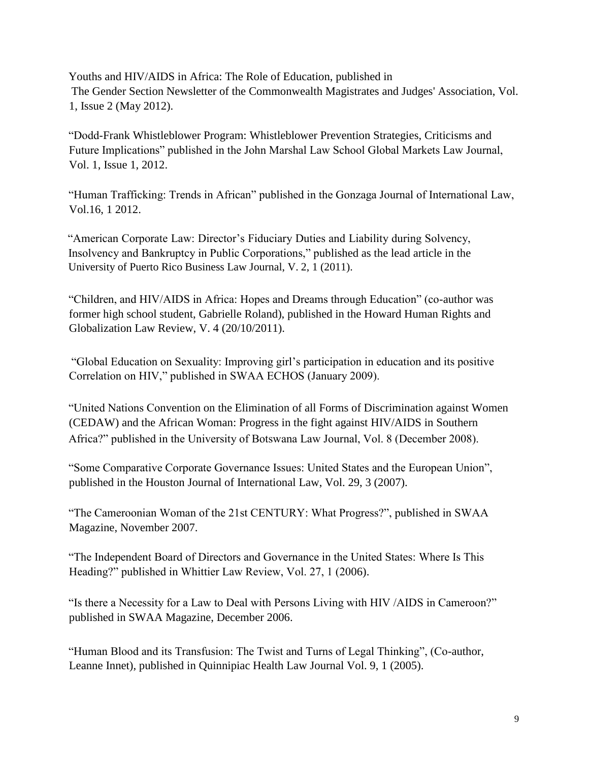Youths and HIV/AIDS in Africa: The Role of Education, published in The Gender Section Newsletter of the Commonwealth Magistrates and Judges' Association, Vol. 1, Issue 2 (May 2012).

"Dodd-Frank Whistleblower Program: Whistleblower Prevention Strategies, Criticisms and Future Implications" published in the John Marshal Law School Global Markets Law Journal, Vol. 1, Issue 1, 2012.

"Human Trafficking: Trends in African" published in the Gonzaga Journal of International Law, Vol.16, 1 2012.

"American Corporate Law: Director's Fiduciary Duties and Liability during Solvency, Insolvency and Bankruptcy in Public Corporations," published as the lead article in the University of Puerto Rico Business Law Journal, V. 2, 1 (2011).

"Children, and HIV/AIDS in Africa: Hopes and Dreams through Education" (co-author was former high school student, Gabrielle Roland), published in the Howard Human Rights and Globalization Law Review, V. 4 (20/10/2011).

"Global Education on Sexuality: Improving girl's participation in education and its positive Correlation on HIV," published in SWAA ECHOS (January 2009).

"United Nations Convention on the Elimination of all Forms of Discrimination against Women (CEDAW) and the African Woman: Progress in the fight against HIV/AIDS in Southern Africa?" published in the University of Botswana Law Journal, Vol. 8 (December 2008).

"Some Comparative Corporate Governance Issues: United States and the European Union", published in the Houston Journal of International Law, Vol. 29, 3 (2007).

"The Cameroonian Woman of the 21st CENTURY: What Progress?", published in SWAA Magazine, November 2007.

"The Independent Board of Directors and Governance in the United States: Where Is This Heading?" published in Whittier Law Review, Vol. 27, 1 (2006).

"Is there a Necessity for a Law to Deal with Persons Living with HIV /AIDS in Cameroon?" published in SWAA Magazine, December 2006.

"Human Blood and its Transfusion: The Twist and Turns of Legal Thinking", (Co-author, Leanne Innet), published in Quinnipiac Health Law Journal Vol. 9, 1 (2005).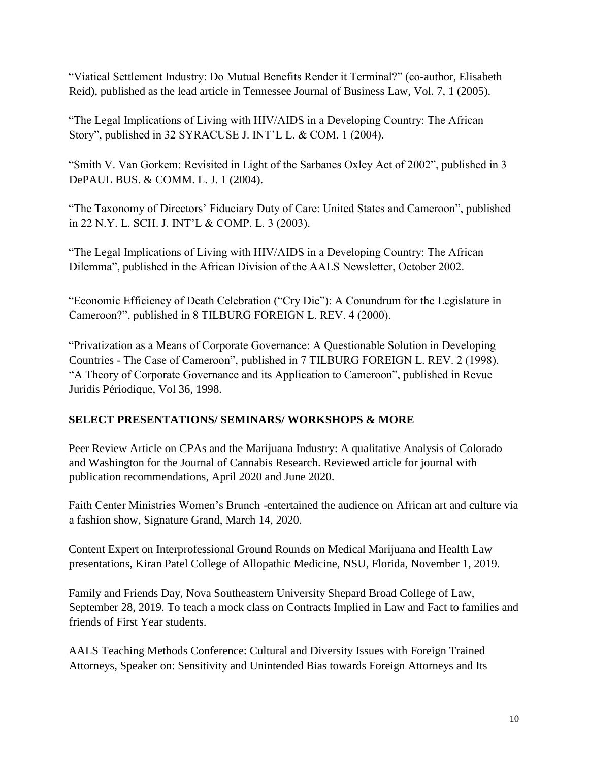"Viatical Settlement Industry: Do Mutual Benefits Render it Terminal?" (co-author, Elisabeth Reid), published as the lead article in Tennessee Journal of Business Law, Vol. 7, 1 (2005).

"The Legal Implications of Living with HIV/AIDS in a Developing Country: The African Story", published in 32 SYRACUSE J. INT'L L. & COM. 1 (2004).

"Smith V. Van Gorkem: Revisited in Light of the Sarbanes Oxley Act of 2002", published in 3 DePAUL BUS. & COMM. L. J. 1 (2004).

"The Taxonomy of Directors' Fiduciary Duty of Care: United States and Cameroon", published in 22 N.Y. L. SCH. J. INT'L & COMP. L. 3 (2003).

"The Legal Implications of Living with HIV/AIDS in a Developing Country: The African Dilemma", published in the African Division of the AALS Newsletter, October 2002.

"Economic Efficiency of Death Celebration ("Cry Die"): A Conundrum for the Legislature in Cameroon?", published in 8 TILBURG FOREIGN L. REV. 4 (2000).

"Privatization as a Means of Corporate Governance: A Questionable Solution in Developing Countries - The Case of Cameroon", published in 7 TILBURG FOREIGN L. REV. 2 (1998). "A Theory of Corporate Governance and its Application to Cameroon", published in Revue Juridis Périodique, Vol 36, 1998.

## **SELECT PRESENTATIONS/ SEMINARS/ WORKSHOPS & MORE**

Peer Review Article on CPAs and the Marijuana Industry: A qualitative Analysis of Colorado and Washington for the Journal of Cannabis Research. Reviewed article for journal with publication recommendations, April 2020 and June 2020.

Faith Center Ministries Women's Brunch -entertained the audience on African art and culture via a fashion show, Signature Grand, March 14, 2020.

Content Expert on Interprofessional Ground Rounds on Medical Marijuana and Health Law presentations, Kiran Patel College of Allopathic Medicine, NSU, Florida, November 1, 2019.

Family and Friends Day, Nova Southeastern University Shepard Broad College of Law, September 28, 2019. To teach a mock class on Contracts Implied in Law and Fact to families and friends of First Year students.

AALS Teaching Methods Conference: Cultural and Diversity Issues with Foreign Trained Attorneys*,* Speaker on: Sensitivity and Unintended Bias towards Foreign Attorneys and Its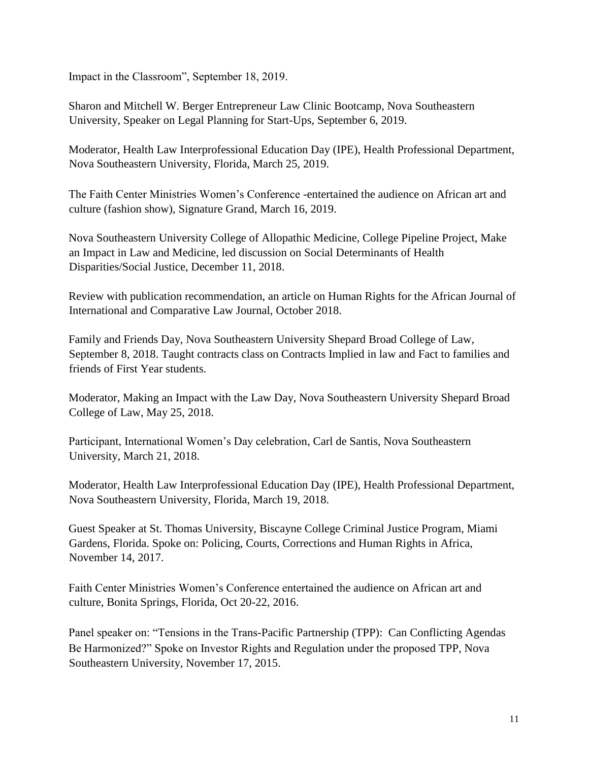Impact in the Classroom", September 18, 2019.

Sharon and Mitchell W. Berger Entrepreneur Law Clinic Bootcamp, Nova Southeastern University, Speaker on Legal Planning for Start-Ups, September 6, 2019.

Moderator, Health Law Interprofessional Education Day (IPE), Health Professional Department, Nova Southeastern University, Florida, March 25, 2019.

The Faith Center Ministries Women's Conference -entertained the audience on African art and culture (fashion show), Signature Grand, March 16, 2019.

Nova Southeastern University College of Allopathic Medicine, College Pipeline Project, Make an Impact in Law and Medicine, led discussion on Social Determinants of Health Disparities/Social Justice, December 11, 2018.

Review with publication recommendation, an article on Human Rights for the African Journal of International and Comparative Law Journal, October 2018.

Family and Friends Day, Nova Southeastern University Shepard Broad College of Law, September 8, 2018. Taught contracts class on Contracts Implied in law and Fact to families and friends of First Year students.

Moderator, Making an Impact with the Law Day, Nova Southeastern University Shepard Broad College of Law, May 25, 2018.

Participant, International Women's Day celebration, Carl de Santis, Nova Southeastern University, March 21, 2018.

Moderator, Health Law Interprofessional Education Day (IPE), Health Professional Department, Nova Southeastern University, Florida, March 19, 2018.

Guest Speaker at St. Thomas University, Biscayne College Criminal Justice Program, Miami Gardens, Florida. Spoke on: Policing, Courts, Corrections and Human Rights in Africa, November 14, 2017.

Faith Center Ministries Women's Conference entertained the audience on African art and culture, Bonita Springs, Florida, Oct 20-22, 2016.

Panel speaker on: "Tensions in the Trans-Pacific Partnership (TPP): Can Conflicting Agendas Be Harmonized?" Spoke on Investor Rights and Regulation under the proposed TPP, Nova Southeastern University, November 17, 2015.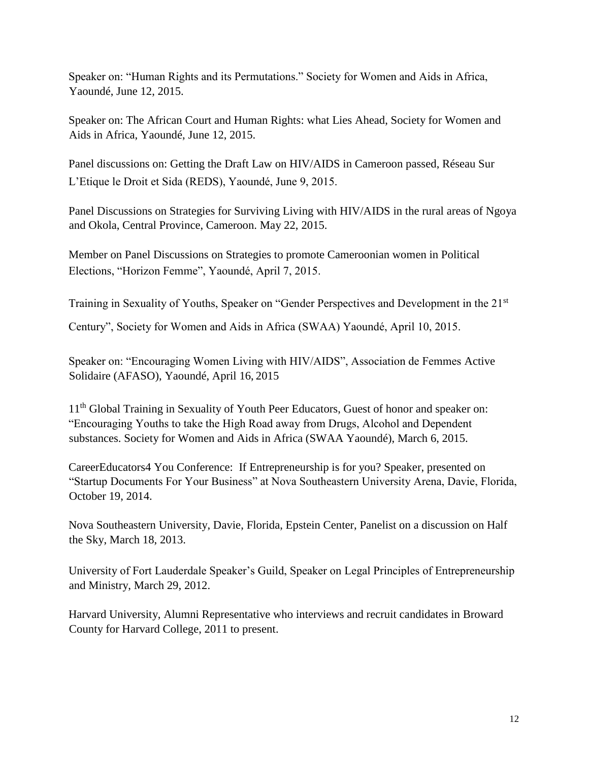Speaker on: "Human Rights and its Permutations." Society for Women and Aids in Africa, Yaoundé, June 12, 2015.

Speaker on: The African Court and Human Rights: what Lies Ahead, Society for Women and Aids in Africa, Yaoundé, June 12, 2015.

Panel discussions on: Getting the Draft Law on HIV/AIDS in Cameroon passed, Réseau Sur L'Etique le Droit et Sida (REDS), Yaoundé, June 9, 2015.

Panel Discussions on Strategies for Surviving Living with HIV/AIDS in the rural areas of Ngoya and Okola, Central Province, Cameroon. May 22, 2015.

Member on Panel Discussions on Strategies to promote Cameroonian women in Political Elections, "Horizon Femme", Yaoundé, April 7, 2015.

Training in Sexuality of Youths, Speaker on "Gender Perspectives and Development in the 21<sup>st</sup>

Century", Society for Women and Aids in Africa (SWAA) Yaoundé, April 10, 2015.

Speaker on: "Encouraging Women Living with HIV/AIDS", Association de Femmes Active Solidaire (AFASO), Yaoundé, April 16, 2015

11<sup>th</sup> Global Training in Sexuality of Youth Peer Educators, Guest of honor and speaker on: "Encouraging Youths to take the High Road away from Drugs, Alcohol and Dependent substances. Society for Women and Aids in Africa (SWAA Yaoundé), March 6, 2015.

CareerEducators4 You Conference: If Entrepreneurship is for you? Speaker, presented on "Startup Documents For Your Business" at Nova Southeastern University Arena, Davie, Florida, October 19, 2014.

Nova Southeastern University, Davie, Florida, Epstein Center, Panelist on a discussion on Half the Sky, March 18, 2013.

University of Fort Lauderdale Speaker's Guild, Speaker on Legal Principles of Entrepreneurship and Ministry, March 29, 2012.

Harvard University, Alumni Representative who interviews and recruit candidates in Broward County for Harvard College, 2011 to present.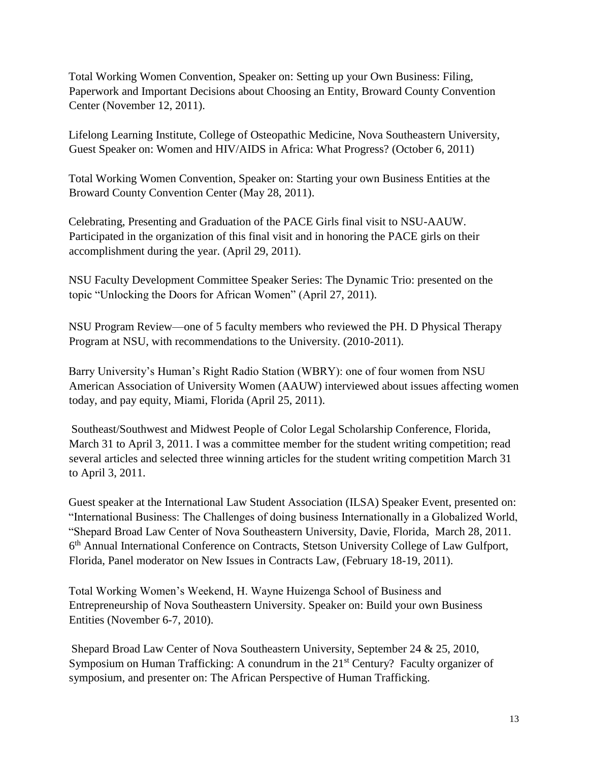Total Working Women Convention, Speaker on: Setting up your Own Business: Filing, Paperwork and Important Decisions about Choosing an Entity, Broward County Convention Center (November 12, 2011).

Lifelong Learning Institute, College of Osteopathic Medicine, Nova Southeastern University, Guest Speaker on: Women and HIV/AIDS in Africa: What Progress? (October 6, 2011)

Total Working Women Convention, Speaker on: Starting your own Business Entities at the Broward County Convention Center (May 28, 2011).

Celebrating, Presenting and Graduation of the PACE Girls final visit to NSU-AAUW. Participated in the organization of this final visit and in honoring the PACE girls on their accomplishment during the year. (April 29, 2011).

NSU Faculty Development Committee Speaker Series: The Dynamic Trio: presented on the topic "Unlocking the Doors for African Women" (April 27, 2011).

NSU Program Review—one of 5 faculty members who reviewed the PH. D Physical Therapy Program at NSU, with recommendations to the University. (2010-2011).

Barry University's Human's Right Radio Station (WBRY): one of four women from NSU American Association of University Women (AAUW) interviewed about issues affecting women today, and pay equity, Miami, Florida (April 25, 2011).

Southeast/Southwest and Midwest People of Color Legal Scholarship Conference, Florida, March 31 to April 3, 2011. I was a committee member for the student writing competition; read several articles and selected three winning articles for the student writing competition March 31 to April 3, 2011.

Guest speaker at the International Law Student Association (ILSA) Speaker Event, presented on: "International Business: The Challenges of doing business Internationally in a Globalized World, "Shepard Broad Law Center of Nova Southeastern University, Davie, Florida, March 28, 2011. 6<sup>th</sup> Annual International Conference on Contracts, Stetson University College of Law Gulfport, Florida, Panel moderator on New Issues in Contracts Law, (February 18-19, 2011).

Total Working Women's Weekend, H. Wayne Huizenga School of Business and Entrepreneurship of Nova Southeastern University. Speaker on: Build your own Business Entities (November 6-7, 2010).

Shepard Broad Law Center of Nova Southeastern University, September 24 & 25, 2010, Symposium on Human Trafficking: A conundrum in the 21<sup>st</sup> Century? Faculty organizer of symposium, and presenter on: The African Perspective of Human Trafficking.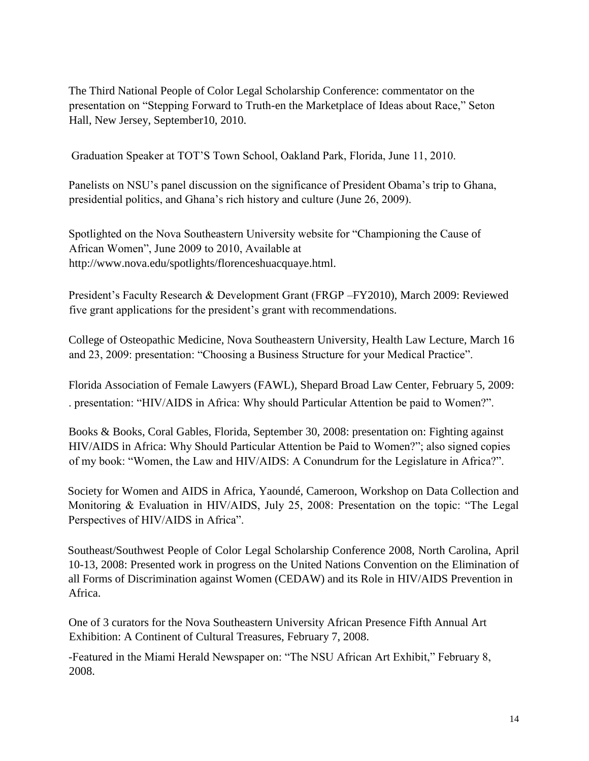The Third National People of Color Legal Scholarship Conference: commentator on the presentation on "Stepping Forward to Truth-en the Marketplace of Ideas about Race," Seton Hall, New Jersey, September10, 2010.

Graduation Speaker at TOT'S Town School, Oakland Park, Florida, June 11, 2010.

Panelists on NSU's panel discussion on the significance of President Obama's trip to Ghana, presidential politics, and Ghana's rich history and culture (June 26, 2009).

Spotlighted on the Nova Southeastern University website for "Championing the Cause of African Women", June 2009 to 2010, Available at http://www.nova.edu/spotlights/florenceshuacquaye.html.

President's Faculty Research & Development Grant (FRGP –FY2010), March 2009: Reviewed five grant applications for the president's grant with recommendations.

College of Osteopathic Medicine, Nova Southeastern University, Health Law Lecture, March 16 and 23, 2009: presentation: "Choosing a Business Structure for your Medical Practice".

Florida Association of Female Lawyers (FAWL), Shepard Broad Law Center, February 5, 2009: . presentation: "HIV/AIDS in Africa: Why should Particular Attention be paid to Women?".

Books & Books, Coral Gables, Florida, September 30, 2008: presentation on: Fighting against HIV/AIDS in Africa: Why Should Particular Attention be Paid to Women?"; also signed copies of my book: "Women, the Law and HIV/AIDS: A Conundrum for the Legislature in Africa?".

Society for Women and AIDS in Africa, Yaoundé, Cameroon, Workshop on Data Collection and Monitoring & Evaluation in HIV/AIDS, July 25, 2008: Presentation on the topic: "The Legal Perspectives of HIV/AIDS in Africa".

Southeast/Southwest People of Color Legal Scholarship Conference 2008, North Carolina, April 10-13, 2008: Presented work in progress on the United Nations Convention on the Elimination of all Forms of Discrimination against Women (CEDAW) and its Role in HIV/AIDS Prevention in Africa.

One of 3 curators for the Nova Southeastern University African Presence Fifth Annual Art Exhibition: A Continent of Cultural Treasures, February 7, 2008.

-Featured in the Miami Herald Newspaper on: "The NSU African Art Exhibit," February 8, 2008.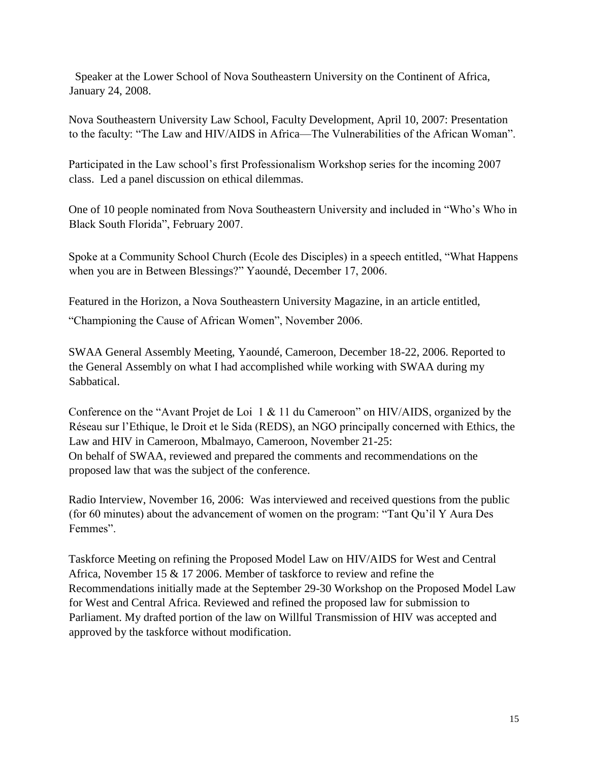Speaker at the Lower School of Nova Southeastern University on the Continent of Africa, January 24, 2008.

Nova Southeastern University Law School, Faculty Development, April 10, 2007: Presentation to the faculty: "The Law and HIV/AIDS in Africa—The Vulnerabilities of the African Woman".

Participated in the Law school's first Professionalism Workshop series for the incoming 2007 class. Led a panel discussion on ethical dilemmas.

One of 10 people nominated from Nova Southeastern University and included in "Who's Who in Black South Florida", February 2007.

Spoke at a Community School Church (Ecole des Disciples) in a speech entitled, "What Happens when you are in Between Blessings?" Yaoundé, December 17, 2006.

Featured in the Horizon, a Nova Southeastern University Magazine, in an article entitled,

"Championing the Cause of African Women", November 2006.

SWAA General Assembly Meeting, Yaoundé, Cameroon, December 18-22, 2006. Reported to the General Assembly on what I had accomplished while working with SWAA during my Sabbatical.

Conference on the "Avant Projet de Loi 1 & 11 du Cameroon" on HIV/AIDS, organized by the Réseau sur l'Ethique, le Droit et le Sida (REDS), an NGO principally concerned with Ethics, the Law and HIV in Cameroon, Mbalmayo, Cameroon, November 21-25: On behalf of SWAA, reviewed and prepared the comments and recommendations on the proposed law that was the subject of the conference.

Radio Interview, November 16, 2006: Was interviewed and received questions from the public (for 60 minutes) about the advancement of women on the program: "Tant Qu'il Y Aura Des Femmes".

Taskforce Meeting on refining the Proposed Model Law on HIV/AIDS for West and Central Africa, November 15 & 17 2006. Member of taskforce to review and refine the Recommendations initially made at the September 29-30 Workshop on the Proposed Model Law for West and Central Africa. Reviewed and refined the proposed law for submission to Parliament. My drafted portion of the law on Willful Transmission of HIV was accepted and approved by the taskforce without modification.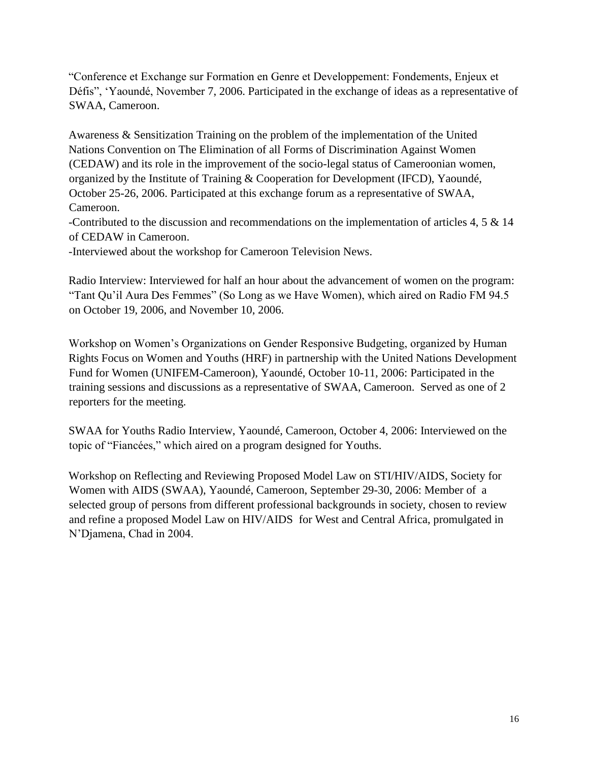"Conference et Exchange sur Formation en Genre et Developpement: Fondements, Enjeux et Défis", 'Yaoundé, November 7, 2006. Participated in the exchange of ideas as a representative of SWAA, Cameroon.

Awareness & Sensitization Training on the problem of the implementation of the United Nations Convention on The Elimination of all Forms of Discrimination Against Women (CEDAW) and its role in the improvement of the socio-legal status of Cameroonian women, organized by the Institute of Training & Cooperation for Development (IFCD), Yaoundé, October 25-26, 2006. Participated at this exchange forum as a representative of SWAA, Cameroon.

-Contributed to the discussion and recommendations on the implementation of articles 4, 5 & 14 of CEDAW in Cameroon.

-Interviewed about the workshop for Cameroon Television News.

Radio Interview: Interviewed for half an hour about the advancement of women on the program: "Tant Qu'il Aura Des Femmes" (So Long as we Have Women), which aired on Radio FM 94.5 on October 19, 2006, and November 10, 2006.

Workshop on Women's Organizations on Gender Responsive Budgeting, organized by Human Rights Focus on Women and Youths (HRF) in partnership with the United Nations Development Fund for Women (UNIFEM-Cameroon), Yaoundé, October 10-11, 2006: Participated in the training sessions and discussions as a representative of SWAA, Cameroon. Served as one of 2 reporters for the meeting.

SWAA for Youths Radio Interview, Yaoundé, Cameroon, October 4, 2006: Interviewed on the topic of "Fiancées," which aired on a program designed for Youths.

Workshop on Reflecting and Reviewing Proposed Model Law on STI/HIV/AIDS, Society for Women with AIDS (SWAA), Yaoundé, Cameroon, September 29-30, 2006: Member of a selected group of persons from different professional backgrounds in society, chosen to review and refine a proposed Model Law on HIV/AIDS for West and Central Africa, promulgated in N'Djamena, Chad in 2004.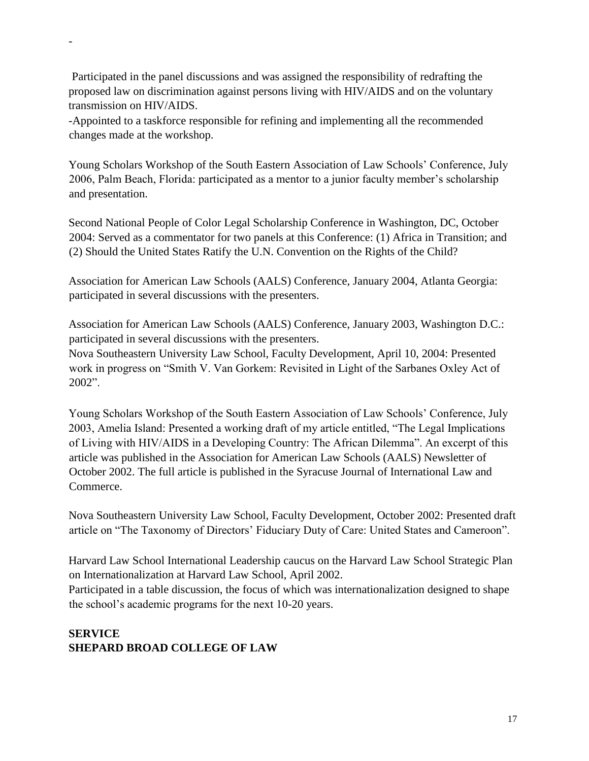Participated in the panel discussions and was assigned the responsibility of redrafting the proposed law on discrimination against persons living with HIV/AIDS and on the voluntary transmission on HIV/AIDS.

-

-Appointed to a taskforce responsible for refining and implementing all the recommended changes made at the workshop.

Young Scholars Workshop of the South Eastern Association of Law Schools' Conference, July 2006, Palm Beach, Florida: participated as a mentor to a junior faculty member's scholarship and presentation.

Second National People of Color Legal Scholarship Conference in Washington, DC, October 2004: Served as a commentator for two panels at this Conference: (1) Africa in Transition; and (2) Should the United States Ratify the U.N. Convention on the Rights of the Child?

Association for American Law Schools (AALS) Conference, January 2004, Atlanta Georgia: participated in several discussions with the presenters.

Association for American Law Schools (AALS) Conference, January 2003, Washington D.C.: participated in several discussions with the presenters.

Nova Southeastern University Law School, Faculty Development, April 10, 2004: Presented work in progress on "Smith V. Van Gorkem: Revisited in Light of the Sarbanes Oxley Act of 2002".

Young Scholars Workshop of the South Eastern Association of Law Schools' Conference, July 2003, Amelia Island: Presented a working draft of my article entitled, "The Legal Implications of Living with HIV/AIDS in a Developing Country: The African Dilemma". An excerpt of this article was published in the Association for American Law Schools (AALS) Newsletter of October 2002. The full article is published in the Syracuse Journal of International Law and Commerce.

Nova Southeastern University Law School, Faculty Development, October 2002: Presented draft article on "The Taxonomy of Directors' Fiduciary Duty of Care: United States and Cameroon".

Harvard Law School International Leadership caucus on the Harvard Law School Strategic Plan on Internationalization at Harvard Law School, April 2002.

Participated in a table discussion, the focus of which was internationalization designed to shape the school's academic programs for the next 10-20 years.

# **SERVICE SHEPARD BROAD COLLEGE OF LAW**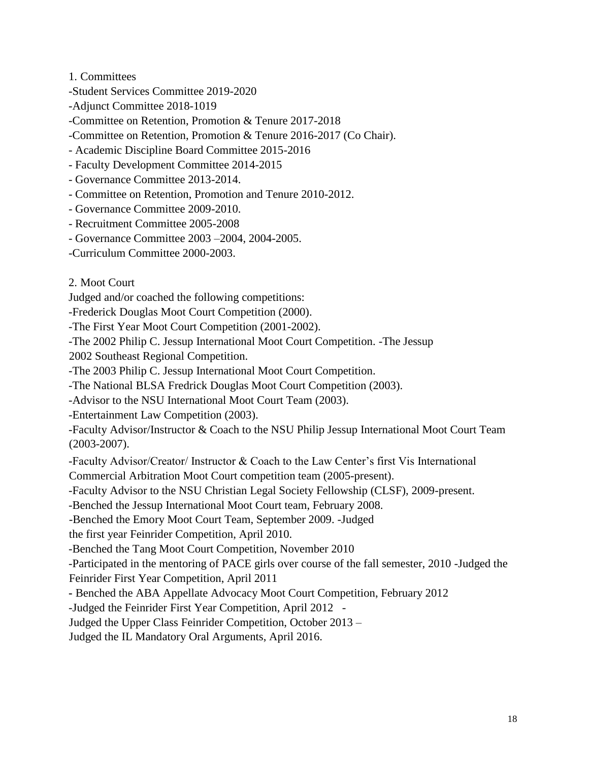1. Committees

- -Student Services Committee 2019-2020
- -Adjunct Committee 2018-1019
- -Committee on Retention, Promotion & Tenure 2017-2018
- -Committee on Retention, Promotion & Tenure 2016-2017 (Co Chair).
- Academic Discipline Board Committee 2015-2016
- Faculty Development Committee 2014-2015
- Governance Committee 2013-2014.
- Committee on Retention, Promotion and Tenure 2010-2012.
- Governance Committee 2009-2010.
- Recruitment Committee 2005-2008
- Governance Committee 2003 –2004, 2004-2005.
- -Curriculum Committee 2000-2003.
- 2. Moot Court

Judged and/or coached the following competitions:

-Frederick Douglas Moot Court Competition (2000).

-The First Year Moot Court Competition (2001-2002).

-The 2002 Philip C. Jessup International Moot Court Competition. -The Jessup

2002 Southeast Regional Competition.

-The 2003 Philip C. Jessup International Moot Court Competition.

-The National BLSA Fredrick Douglas Moot Court Competition (2003).

-Advisor to the NSU International Moot Court Team (2003).

-Entertainment Law Competition (2003).

-Faculty Advisor/Instructor & Coach to the NSU Philip Jessup International Moot Court Team (2003-2007).

-Faculty Advisor/Creator/ Instructor & Coach to the Law Center's first Vis International

Commercial Arbitration Moot Court competition team (2005-present).

-Faculty Advisor to the NSU Christian Legal Society Fellowship (CLSF), 2009-present.

-Benched the Jessup International Moot Court team, February 2008.

-Benched the Emory Moot Court Team, September 2009. -Judged

the first year Feinrider Competition, April 2010.

-Benched the Tang Moot Court Competition, November 2010

-Participated in the mentoring of PACE girls over course of the fall semester, 2010 -Judged the Feinrider First Year Competition, April 2011

**-** Benched the ABA Appellate Advocacy Moot Court Competition, February 2012

-Judged the Feinrider First Year Competition, April 2012 -

Judged the Upper Class Feinrider Competition, October 2013 –

Judged the IL Mandatory Oral Arguments, April 2016.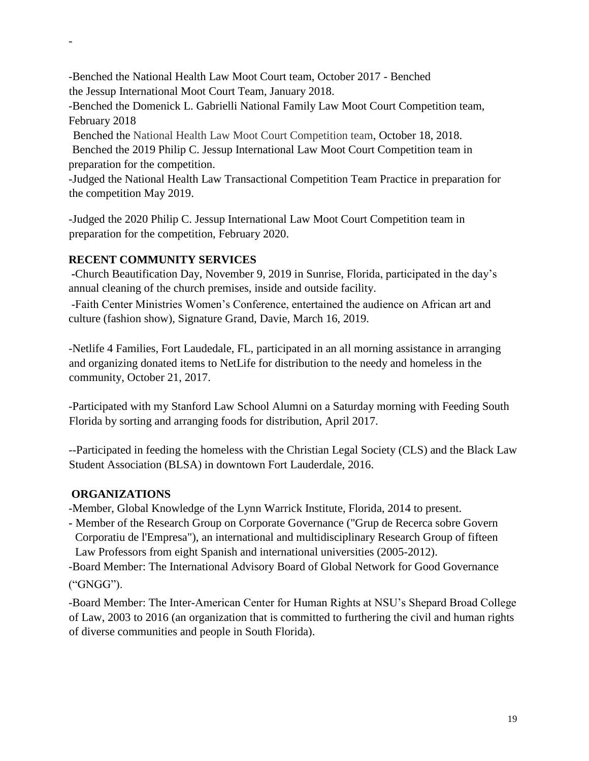-Benched the National Health Law Moot Court team, October 2017 - Benched the Jessup International Moot Court Team, January 2018.

-Benched the Domenick L. Gabrielli National Family Law Moot Court Competition team, February 2018

Benched the National Health Law Moot Court Competition team, October 18, 2018. Benched the 2019 Philip C. Jessup International Law Moot Court Competition team in preparation for the competition.

-Judged the National Health Law Transactional Competition Team Practice in preparation for the competition May 2019.

-Judged the 2020 Philip C. Jessup International Law Moot Court Competition team in preparation for the competition, February 2020.

## **RECENT COMMUNITY SERVICES**

-

**-**Church Beautification Day, November 9, 2019 in Sunrise, Florida, participated in the day's annual cleaning of the church premises, inside and outside facility.

-Faith Center Ministries Women's Conference, entertained the audience on African art and culture (fashion show), Signature Grand, Davie, March 16, 2019.

-Netlife 4 Families, Fort Laudedale, FL, participated in an all morning assistance in arranging and organizing donated items to NetLife for distribution to the needy and homeless in the community, October 21, 2017.

-Participated with my Stanford Law School Alumni on a Saturday morning with Feeding South Florida by sorting and arranging foods for distribution, April 2017.

--Participated in feeding the homeless with the Christian Legal Society (CLS) and the Black Law Student Association (BLSA) in downtown Fort Lauderdale, 2016.

#### **ORGANIZATIONS**

-Member, Global Knowledge of the Lynn Warrick Institute, Florida, 2014 to present.

**-** Member of the Research Group on Corporate Governance ("Grup de Recerca sobre Govern Corporatiu de l'Empresa"), an international and multidisciplinary Research Group of fifteen Law Professors from eight Spanish and international universities (2005-2012).

-Board Member: The International Advisory Board of Global Network for Good Governance ("GNGG").

-Board Member: The Inter-American Center for Human Rights at NSU's Shepard Broad College of Law, 2003 to 2016 (an organization that is committed to furthering the civil and human rights of diverse communities and people in South Florida).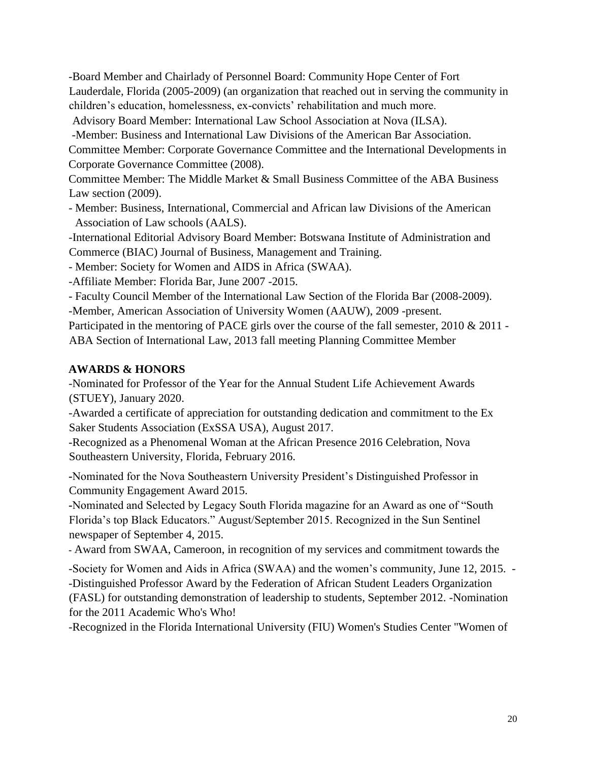-Board Member and Chairlady of Personnel Board: Community Hope Center of Fort Lauderdale, Florida (2005-2009) (an organization that reached out in serving the community in children's education, homelessness, ex-convicts' rehabilitation and much more.

Advisory Board Member: International Law School Association at Nova (ILSA).

-Member: Business and International Law Divisions of the American Bar Association.

Committee Member: Corporate Governance Committee and the International Developments in Corporate Governance Committee (2008).

Committee Member: The Middle Market & Small Business Committee of the ABA Business Law section (2009).

- Member: Business, International, Commercial and African law Divisions of the American Association of Law schools (AALS).

-International Editorial Advisory Board Member: Botswana Institute of Administration and Commerce (BIAC) Journal of Business, Management and Training.

- Member: Society for Women and AIDS in Africa (SWAA).

-Affiliate Member: Florida Bar, June 2007 -2015.

- Faculty Council Member of the International Law Section of the Florida Bar (2008-2009).

-Member, American Association of University Women (AAUW), 2009 -present.

Participated in the mentoring of PACE girls over the course of the fall semester, 2010 & 2011 -ABA Section of International Law, 2013 fall meeting Planning Committee Member

#### **AWARDS & HONORS**

-Nominated for Professor of the Year for the Annual Student Life Achievement Awards (STUEY), January 2020.

-Awarded a certificate of appreciation for outstanding dedication and commitment to the Ex Saker Students Association (ExSSA USA), August 2017.

-Recognized as a Phenomenal Woman at the African Presence 2016 Celebration, Nova Southeastern University, Florida, February 2016.

**-**Nominated for the Nova Southeastern University President's Distinguished Professor in Community Engagement Award 2015.

**-**Nominated and Selected by Legacy South Florida magazine for an Award as one of "South Florida's top Black Educators." August/September 2015. Recognized in the Sun Sentinel newspaper of September 4, 2015.

**-** Award from SWAA, Cameroon, in recognition of my services and commitment towards the

-Society for Women and Aids in Africa (SWAA) and the women's community, June 12, 2015. - -Distinguished Professor Award by the Federation of African Student Leaders Organization (FASL) for outstanding demonstration of leadership to students, September 2012. -Nomination for the 2011 Academic Who's Who!

-Recognized in the Florida International University (FIU) Women's Studies Center "Women of